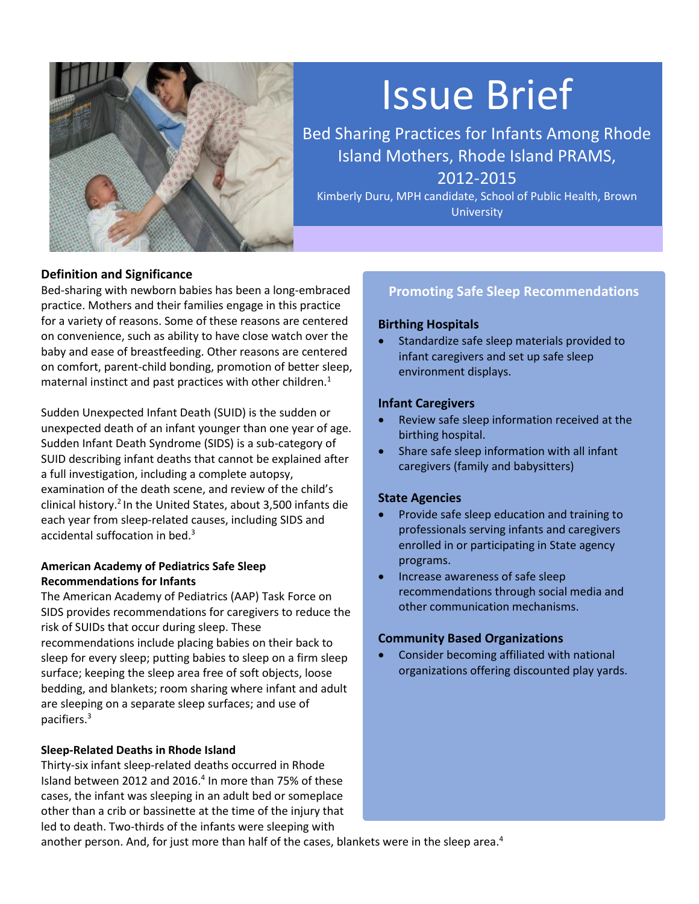

# Issue Brief

Bed Sharing Practices for Infants Among Rhode Island Mothers, Rhode Island PRAMS, 2012-2015

Kimberly Duru, MPH candidate, School of Public Health, Brown **University** 

# **Definition and Significance**

Bed-sharing with newborn babies has been a long-embraced practice. Mothers and their families engage in this practice for a variety of reasons. Some of these reasons are centered on convenience, such as ability to have close watch over the baby and ease of breastfeeding. Other reasons are centered on comfort, parent-child bonding, promotion of better sleep, maternal instinct and past practices with other children.<sup>1</sup>

Sudden Unexpected Infant Death (SUID) is the sudden or unexpected death of an infant younger than one year of age. Sudden Infant Death Syndrome (SIDS) is a sub-category of SUID describing infant deaths that cannot be explained after a full investigation, including a complete autopsy, examination of the death scene, and review of the child's clinical history.<sup>2</sup> In the United States, about 3,500 infants die each year from sleep-related causes, including SIDS and accidental suffocation in bed.<sup>3</sup>

#### **American Academy of Pediatrics Safe Sleep Recommendations for Infants**

The American Academy of Pediatrics (AAP) Task Force on SIDS provides recommendations for caregivers to reduce the risk of SUIDs that occur during sleep. These recommendations include placing babies on their back to sleep for every sleep; putting babies to sleep on a firm sleep surface; keeping the sleep area free of soft objects, loose bedding, and blankets; room sharing where infant and adult are sleeping on a separate sleep surfaces; and use of pacifiers.<sup>3</sup>

## **Sleep-Related Deaths in Rhode Island**

Thirty-six infant sleep-related deaths occurred in Rhode Island between 2012 and 2016.<sup>4</sup> In more than 75% of these cases, the infant was sleeping in an adult bed or someplace other than a crib or bassinette at the time of the injury that led to death. Two-thirds of the infants were sleeping with

## **Promoting Safe Sleep Recommendations**

#### **Birthing Hospitals**

• Standardize safe sleep materials provided to infant caregivers and set up safe sleep environment displays.

#### **Infant Caregivers**

- Review safe sleep information received at the birthing hospital.
- Share safe sleep information with all infant caregivers (family and babysitters)

#### **State Agencies**

- Provide safe sleep education and training to professionals serving infants and caregivers enrolled in or participating in State agency programs.
- Increase awareness of safe sleep recommendations through social media and other communication mechanisms.

#### **Community Based Organizations**

• Consider becoming affiliated with national organizations offering discounted play yards.

another person. And, for just more than half of the cases, blankets were in the sleep area.<sup>4</sup>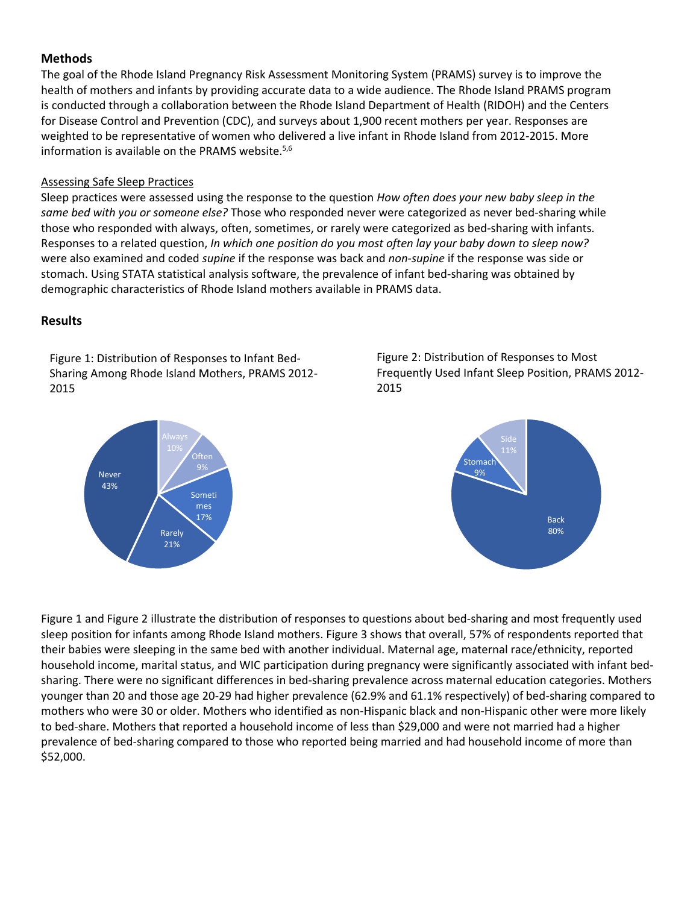## **Methods**

The goal of the Rhode Island Pregnancy Risk Assessment Monitoring System (PRAMS) survey is to improve the health of mothers and infants by providing accurate data to a wide audience. The Rhode Island PRAMS program is conducted through a collaboration between the Rhode Island Department of Health (RIDOH) and the Centers for Disease Control and Prevention (CDC), and surveys about 1,900 recent mothers per year. Responses are weighted to be representative of women who delivered a live infant in Rhode Island from 2012-2015. More information is available on the PRAMS website.<sup>5,6</sup>

#### Assessing Safe Sleep Practices

Sleep practices were assessed using the response to the question *How often does your new baby sleep in the same bed with you or someone else?* Those who responded never were categorized as never bed-sharing while those who responded with always, often, sometimes, or rarely were categorized as bed-sharing with infants. Responses to a related question, *In which one position do you most often lay your baby down to sleep now?* were also examined and coded *supine* if the response was back and *non-supine* if the response was side or stomach. Using STATA statistical analysis software, the prevalence of infant bed-sharing was obtained by demographic characteristics of Rhode Island mothers available in PRAMS data.

#### **Results**

Figure 1: Distribution of Responses to Infant Bed-Sharing Among Rhode Island Mothers, PRAMS 2012- 2015



Figure 2: Distribution of Responses to Most Frequently Used Infant Sleep Position, PRAMS 2012- 2015



Figure 1 and Figure 2 illustrate the distribution of responses to questions about bed-sharing and most frequently used sleep position for infants among Rhode Island mothers. Figure 3 shows that overall, 57% of respondents reported that their babies were sleeping in the same bed with another individual. Maternal age, maternal race/ethnicity, reported household income, marital status, and WIC participation during pregnancy were significantly associated with infant bedsharing. There were no significant differences in bed-sharing prevalence across maternal education categories. Mothers younger than 20 and those age 20-29 had higher prevalence (62.9% and 61.1% respectively) of bed-sharing compared to mothers who were 30 or older. Mothers who identified as non-Hispanic black and non-Hispanic other were more likely to bed-share. Mothers that reported a household income of less than \$29,000 and were not married had a higher prevalence of bed-sharing compared to those who reported being married and had household income of more than \$52,000.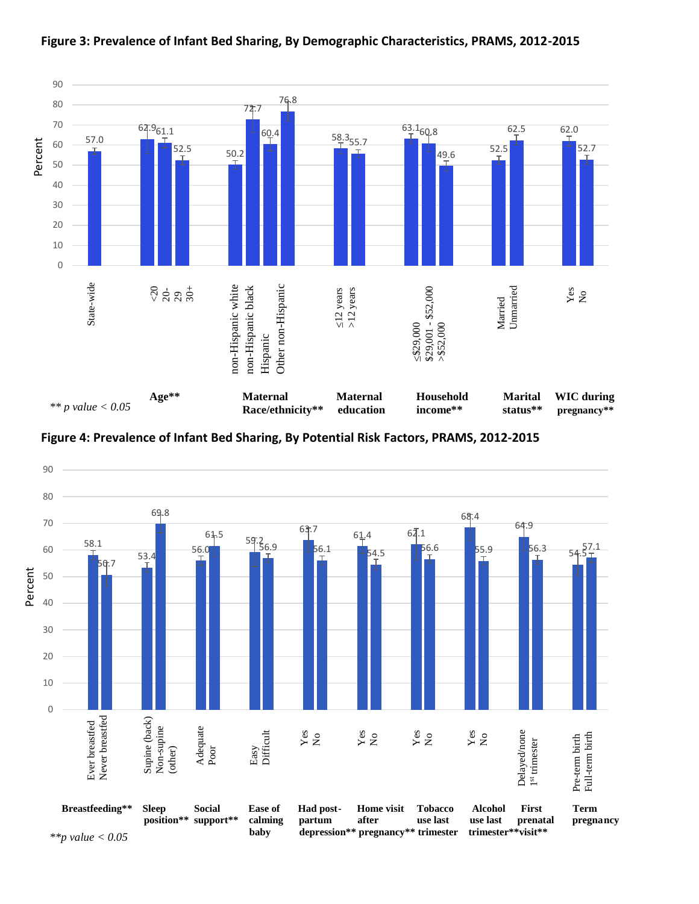

#### **Figure 3: Prevalence of Infant Bed Sharing, By Demographic Characteristics, PRAMS, 2012-2015**

**Figure 4: Prevalence of Infant Bed Sharing, By Potential Risk Factors, PRAMS, 2012-2015**